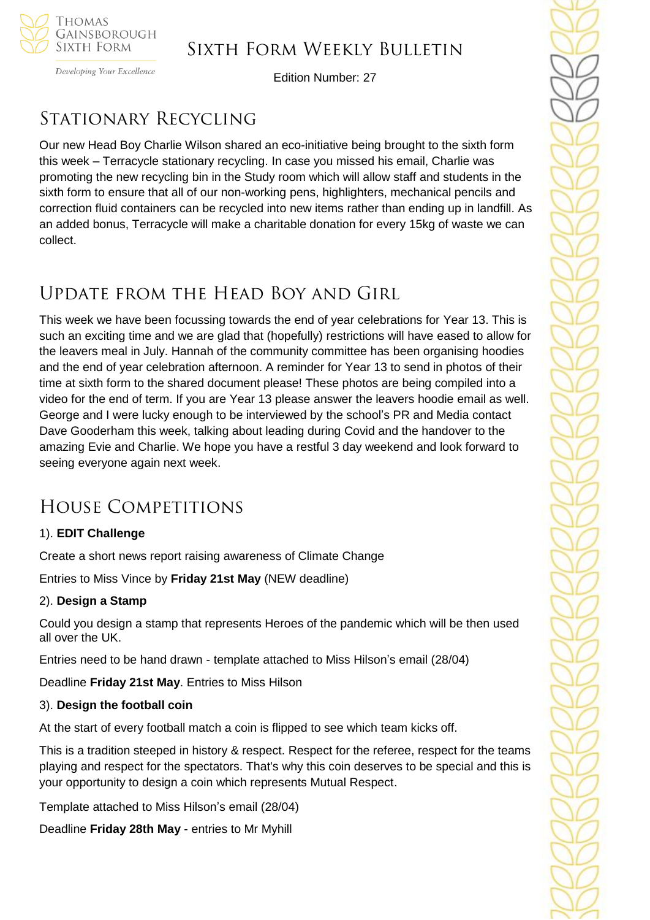

Developing Your Excellence

Edition Number: 27

# Stationary Recycling

Our new Head Boy Charlie Wilson shared an eco-initiative being brought to the sixth form this week – Terracycle stationary recycling. In case you missed his email, Charlie was promoting the new recycling bin in the Study room which will allow staff and students in the sixth form to ensure that all of our non-working pens, highlighters, mechanical pencils and correction fluid containers can be recycled into new items rather than ending up in landfill. As an added bonus, Terracycle will make a charitable donation for every 15kg of waste we can collect.

# Update from the Head Boy and Girl

This week we have been focussing towards the end of year celebrations for Year 13. This is such an exciting time and we are glad that (hopefully) restrictions will have eased to allow for the leavers meal in July. Hannah of the community committee has been organising hoodies and the end of year celebration afternoon. A reminder for Year 13 to send in photos of their time at sixth form to the shared document please! These photos are being compiled into a video for the end of term. If you are Year 13 please answer the leavers hoodie email as well. George and I were lucky enough to be interviewed by the school's PR and Media contact Dave Gooderham this week, talking about leading during Covid and the handover to the amazing Evie and Charlie. We hope you have a restful 3 day weekend and look forward to seeing everyone again next week.

# House Competitions

## 1). **EDIT Challenge**

Create a short news report raising awareness of Climate Change

Entries to Miss Vince by **Friday 21st May** (NEW deadline)

## 2). **Design a Stamp**

Could you design a stamp that represents Heroes of the pandemic which will be then used all over the UK.

Entries need to be hand drawn - template attached to Miss Hilson's email (28/04)

Deadline **Friday 21st May**. Entries to Miss Hilson

### 3). **Design the football coin**

At the start of every football match a coin is flipped to see which team kicks off.

This is a tradition steeped in history & respect. Respect for the referee, respect for the teams playing and respect for the spectators. That's why this coin deserves to be special and this is your opportunity to design a coin which represents Mutual Respect.

Template attached to Miss Hilson's email (28/04)

Deadline **Friday 28th May** - entries to Mr Myhill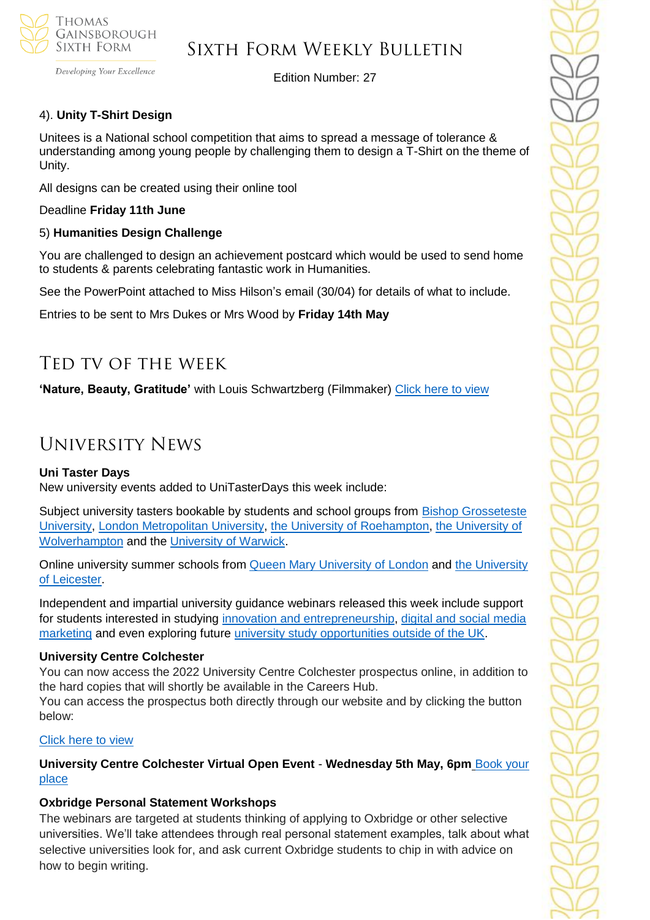

Developing Your Excellence

Edition Number: 27

## 4). **Unity T-Shirt Design**

Unitees is a National school competition that aims to spread a message of tolerance & understanding among young people by challenging them to design a T-Shirt on the theme of Unity.

All designs can be created using their online tool

Deadline **Friday 11th June**

#### 5) **Humanities Design Challenge**

You are challenged to design an achievement postcard which would be used to send home to students & parents celebrating fantastic work in Humanities.

See the PowerPoint attached to Miss Hilson's email (30/04) for details of what to include.

Entries to be sent to Mrs Dukes or Mrs Wood by **Friday 14th May**

## Ted tv of the week

**'Nature, Beauty, Gratitude'** with Louis Schwartzberg (Filmmaker) [Click here to view](https://www.ted.com/talks/louie_schwartzberg_nature_beauty_gratitude?rid=wSfKtP03YjM3)

## University News

#### **Uni Taster Days**

New university events added to UniTasterDays this week include:

Subject university tasters bookable by students and school groups from [Bishop Grosseteste](https://www.unitasterdays.com/search.aspx?IID=1751&Sort=D)  [University,](https://www.unitasterdays.com/search.aspx?IID=1751&Sort=D) [London Metropolitan University,](https://www.unitasterdays.com/search.aspx?IID=149&Sort=D) [the University of Roehampton,](https://www.unitasterdays.com/search.aspx?IID=201&Sort=D) [the University of](https://www.unitasterdays.com/search.aspx?IID=373&Sort=D)  [Wolverhampton](https://www.unitasterdays.com/search.aspx?IID=373&Sort=D) and the [University of Warwick.](https://www.unitasterdays.com/search.aspx?IID=369&Sort=D)

Online university summer schools from **Queen Mary University of London** and the University [of Leicester.](https://www.unitasterdays.com/search.aspx?IID=322&Sort=D)

Independent and impartial university guidance webinars released this week include support for students interested in studying [innovation and entrepreneurship,](https://www.unitasterdays.com/ondemand/webinar/114/innovation-and-entrepreneurship) [digital and social media](https://www.unitasterdays.com/ondemand/webinar/113/digital-and-social-media-marketing)  [marketing](https://www.unitasterdays.com/ondemand/webinar/113/digital-and-social-media-marketing) and even exploring future [university study opportunities outside of the UK.](https://www.unitasterdays.com/ondemand/webinar/115/study-outside-the-uk)

#### **University Centre Colchester**

You can now access the 2022 University Centre Colchester prospectus online, in addition to the hard copies that will shortly be available in the Careers Hub.

You can access the prospectus both directly through our website and by clicking the button below:

#### [Click here to view](https://www.colchester.ac.uk/ucc-2022-23-prospectus/?mc_cid=b119fcea46&mc_eid=57ab836060)

**University Centre Colchester Virtual Open Event** - **Wednesday 5th May, 6pm** [Book your](https://www.colchester.ac.uk/ucc-virtual-open-event/?mc_cid=b119fcea46&mc_eid=57ab836060)  [place](https://www.colchester.ac.uk/ucc-virtual-open-event/?mc_cid=b119fcea46&mc_eid=57ab836060)

### **Oxbridge Personal Statement Workshops**

The webinars are targeted at students thinking of applying to Oxbridge or other selective universities. We'll take attendees through real personal statement examples, talk about what selective universities look for, and ask current Oxbridge students to chip in with advice on how to begin writing.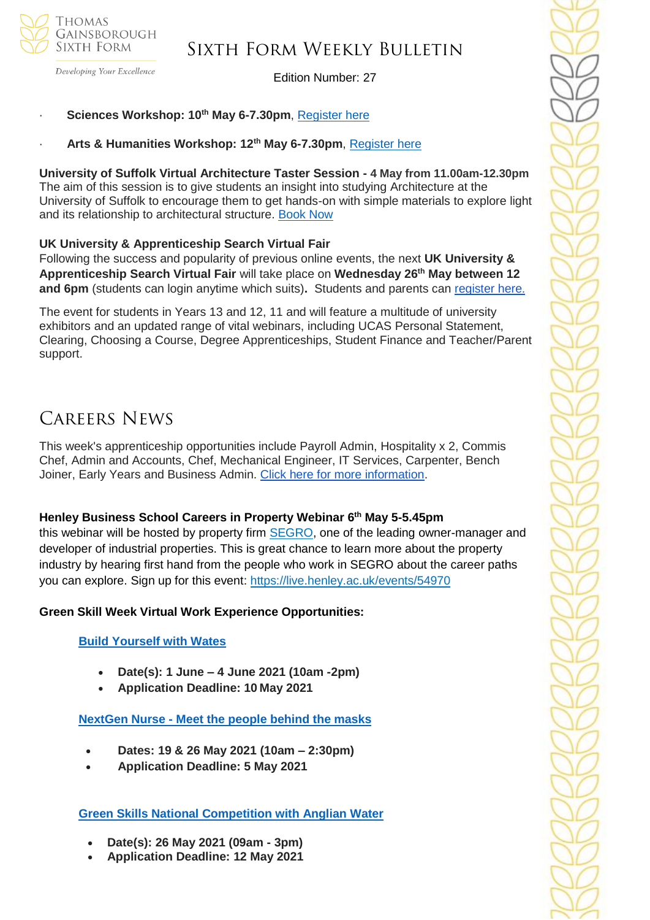

Developing Your Excellence

### Edition Number: 27

#### · **Sciences Workshop: 10th May 6-7.30pm**, [Register here](https://zoom.us/webinar/register/WN_JlHHhkthSNe6Nbt6NwnPAA)

· **Arts & Humanities Workshop: 12th May 6-7.30pm**, [Register here](https://zoom.us/webinar/register/WN_540vzrPWSz6fwlvGk7YtDQ)

**University of Suffolk Virtual Architecture Taster Session - 4 May from 11.00am-12.30pm** The aim of this session is to give students an insight into studying Architecture at the University of Suffolk to encourage them to get hands-on with simple materials to explore light and its relationship to architectural structure. [Book Now](https://www.uos.ac.uk/content/architecture-light-and-experience-virtual-taster-session)

#### **UK University & Apprenticeship Search Virtual Fair**

Following the success and popularity of previous online events, the next **UK University & Apprenticeship Search Virtual Fair** will take place on **Wednesday 26th May between 12 and 6pm** (students can login anytime which suits). Students and parents can [register here.](https://ukunisearchsouth.vfairs.com/en/)

The event for students in Years 13 and 12, 11 and will feature a multitude of university exhibitors and an updated range of vital webinars, including UCAS Personal Statement, Clearing, Choosing a Course, Degree Apprenticeships, Student Finance and Teacher/Parent support.

## Careers News

This week's apprenticeship opportunities include Payroll Admin, Hospitality x 2, Commis Chef, Admin and Accounts, Chef, Mechanical Engineer, IT Services, Carpenter, Bench Joiner, Early Years and Business Admin. [Click here for more information.](https://mail.google.com/mail/u/0/#inbox/FMfcgxwLtkPlnCRncRWwjkKGGTzfSgkB)

#### **Henley Business School Careers in Property Webinar 6 th May 5-5.45pm**

this webinar will be hosted by property firm [SEGRO,](http://purepotential-mail.org/_act/link.php?mId=P923857114982776818041494zzzzz646314bff14cae50a69ddd70f615cf37e9e001015390a3665d2350ff58dc33eab3&tId=315489501) one of the leading owner-manager and developer of industrial properties. This is great chance to learn more about the property industry by hearing first hand from the people who work in SEGRO about the career paths you can explore. Sign up for this event: [https://live.henley.ac.uk/events/54970](http://purepotential-mail.org/_act/link.php?mId=P923857114982776818041494zzzzz646314bff14cae50a69ddd70f615cf37e9e001015390a3665d2350ff58dc33eab3&tId=315489502)

#### **Green Skill Week Virtual Work Experience Opportunities:**

#### **[Build Yourself with Wates](https://www.s4snextgen.org/Opportunities/View/id/1419)**

- **Date(s): 1 June – 4 June 2021 (10am -2pm)**
- **Application Deadline: 10 May 2021**

**NextGen Nurse - [Meet the people behind the masks](https://www.s4snextgen.org/Opportunities/View/id/1547)**

- **Dates: 19 & 26 May 2021 (10am – 2:30pm)**
- **Application Deadline: 5 May 2021**

**[Green Skills National Competition with Anglian Water](https://www.s4snextgen.org/Opportunities/View/id/1321)**

- **Date(s): 26 May 2021 (09am - 3pm)**
- **Application Deadline: 12 May 2021**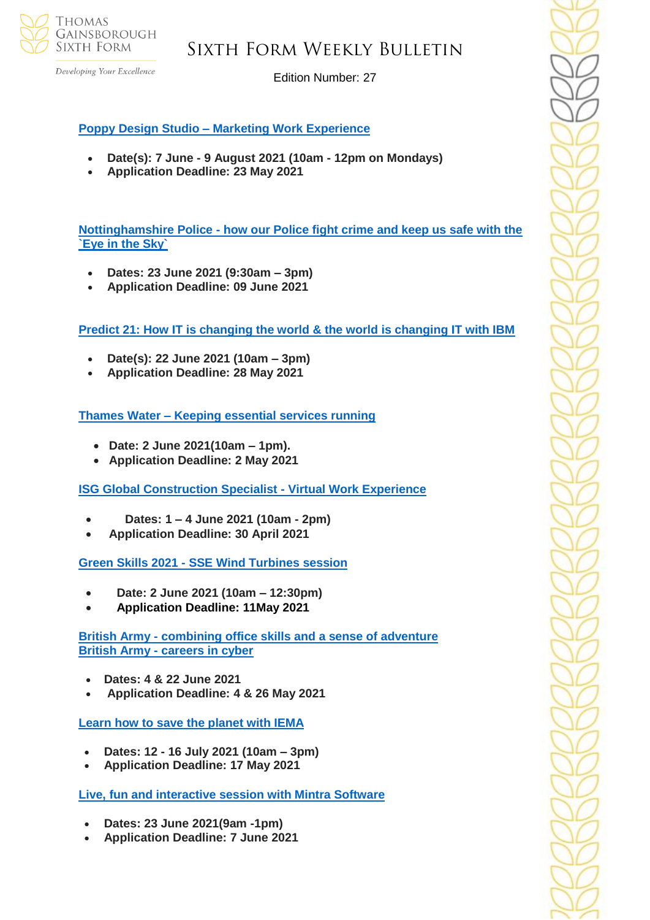

Developing Your Excellence

Edition Number: 27

## **Poppy Design Studio – [Marketing Work Experience](https://www.s4snextgen.org/Opportunities/View/id/1453)**

- **Date(s): 7 June - 9 August 2021 (10am - 12pm on Mondays)**
- **Application Deadline: 23 May 2021**

**Nottinghamshire Police - [how our Police fight crime and keep us safe with the](https://www.s4snextgen.org/Opportunities/View/id/1622)  [`Eye in the Sky`](https://www.s4snextgen.org/Opportunities/View/id/1622)**

- **Dates: 23 June 2021 (9:30am – 3pm)**
- **Application Deadline: 09 June 2021**

**[Predict 21: How IT is changing the world & the world is changing IT with IBM](https://www.s4snextgen.org/Opportunities/View/id/1593)**

- **Date(s): 22 June 2021 (10am – 3pm)**
- **Application Deadline: 28 May 2021**

**Thames Water – [Keeping essential services running](https://www.s4snextgen.org/Opportunities/View/id/1373)**

- **Date: 2 June 2021(10am – 1pm).**
- **Application Deadline: 2 May 2021**

**[ISG Global Construction Specialist -](https://www.s4snextgen.org/Opportunities/View/id/1455) Virtual Work Experience**

- **Dates: 1 – 4 June 2021 (10am - 2pm)**
- **Application Deadline: 30 April 2021**

**Green Skills 2021 - [SSE Wind Turbines session](https://www.s4snextgen.org/Opportunities/View/id/1428)**

- **Date: 2 June 2021 (10am – 12:30pm)**
- **Application Deadline: 11May 2021**

**British Army - [combining office skills and a sense of adventure](https://www.s4snextgen.org/Opportunities/View/id/1518) British Army - [careers in cyber](https://www.s4snextgen.org/Opportunities/View/id/1651)**

- **Dates: 4 & 22 June 2021**
- **Application Deadline: 4 & 26 May 2021**

**[Learn how to save the planet with IEMA](https://www.s4snextgen.org/Opportunities/View/id/1532)**

- **Dates: 12 - 16 July 2021 (10am – 3pm)**
- **Application Deadline: 17 May 2021**

**[Live, fun and interactive session with Mintra Software](https://www.s4snextgen.org/Opportunities/View/id/1393)**

- **Dates: 23 June 2021(9am -1pm)**
- **Application Deadline: 7 June 2021**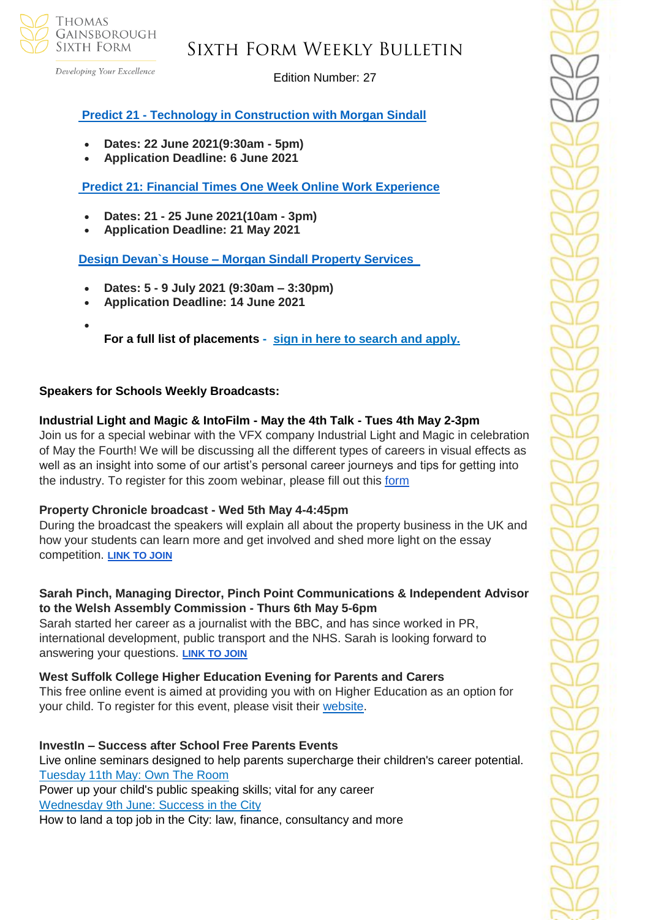

Developing Your Excellence

Edition Number: 27

## **Predict 21 - [Technology in Construction with Morgan Sindall](https://www.s4snextgen.org/Opportunities/View/id/1539)**

- **Dates: 22 June 2021(9:30am - 5pm)**
- **Application Deadline: 6 June 2021**

**[Predict 21: Financial Times One Week Online Work Experience](https://www.s4snextgen.org/Opportunities/View/id/1539)**

- **Dates: 21 - 25 June 2021(10am - 3pm)**
- **Application Deadline: 21 May 2021**

**Design Devan`s House – [Morgan Sindall Property Services](https://www.s4snextgen.org/Opportunities/View/id/1532)** 

- **Dates: 5 - 9 July 2021 (9:30am – 3:30pm)**
- **Application Deadline: 14 June 2021**
- **For a full list of placements - [sign in here to search and apply.](http://www.s4snextgen.org/)**

### **Speakers for Schools Weekly Broadcasts:**

## **Industrial Light and Magic & IntoFilm - May the 4th Talk - Tues 4th May 2-3pm**

Join us for a special webinar with the VFX company Industrial Light and Magic in celebration of May the Fourth! We will be discussing all the different types of careers in visual effects as well as an insight into some of our artist's personal career journeys and tips for getting into the industry. To register for this zoom webinar, please fill out this [form](https://forms.office.com/pages/responsepage.aspx?id=HFqhLo7yMEahv9dFTLRO6z5Q3ETnFPxGiGXEnV3hfnFUMlBDWTdQQzU4NEpYNUcwSFMwWDhHTDZaTi4u)

### **Property Chronicle broadcast - Wed 5th May 4-4:45pm**

During the broadcast the speakers will explain all about the property business in the UK and how your students can learn more and get involved and shed more light on the essay competition. **[LINK TO JOIN](https://bit.ly/3e0nEZm)**

### **Sarah Pinch, Managing Director, Pinch Point Communications & Independent Advisor to the Welsh Assembly Commission - Thurs 6th May 5-6pm**

Sarah started her career as a journalist with the BBC, and has since worked in PR, international development, public transport and the NHS. Sarah is looking forward to answering your questions. **[LINK TO JOIN](https://bit.ly/3vxnobx)**

### **West Suffolk College Higher Education Evening for Parents and Carers**

This free online event is aimed at providing you with on Higher Education as an option for your child. To register for this event, please visit their [website.](https://www.wsc.ac.uk/about-the-college/events/upcoming-events)

**InvestIn – Success after School Free Parents Events** Live online seminars designed to help parents supercharge their children's career potential. [Tuesday 11th May: Own The Room](https://investin.us6.list-manage.com/track/click?u=42ef3d3a89e86b8375cadb9aa&id=89f37fad0d&e=894e4199ae) Power up your child's public speaking skills; vital for any career [Wednesday 9th June: Success](https://investin.us6.list-manage.com/track/click?u=42ef3d3a89e86b8375cadb9aa&id=19b5bbb8d9&e=894e4199ae) in the City How to land a top job in the City: law, finance, consultancy and more